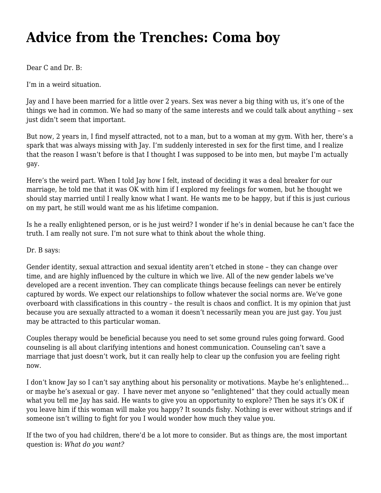## **[Advice from the Trenches: Coma boy](https://motifri.com/coma-boy/)**

Dear C and Dr. B:

I'm in a weird situation.

Jay and I have been married for a little over 2 years. Sex was never a big thing with us, it's one of the things we had in common. We had so many of the same interests and we could talk about anything – sex just didn't seem that important.

But now, 2 years in, I find myself attracted, not to a man, but to a woman at my gym. With her, there's a spark that was always missing with Jay. I'm suddenly interested in sex for the first time, and I realize that the reason I wasn't before is that I thought I was supposed to be into men, but maybe I'm actually gay.

Here's the weird part. When I told Jay how I felt, instead of deciding it was a deal breaker for our marriage, he told me that it was OK with him if I explored my feelings for women, but he thought we should stay married until I really know what I want. He wants me to be happy, but if this is just curious on my part, he still would want me as his lifetime companion.

Is he a really enlightened person, or is he just weird? I wonder if he's in denial because he can't face the truth. I am really not sure. I'm not sure what to think about the whole thing.

Dr. B says:

Gender identity, sexual attraction and sexual identity aren't etched in stone – they can change over time, and are highly influenced by the culture in which we live. All of the new gender labels we've developed are a recent invention. They can complicate things because feelings can never be entirely captured by words. We expect our relationships to follow whatever the social norms are. We've gone overboard with classifications in this country – the result is chaos and conflict. It is my opinion that just because you are sexually attracted to a woman it doesn't necessarily mean you are just gay. You just may be attracted to this particular woman.

Couples therapy would be beneficial because you need to set some ground rules going forward. Good counseling is all about clarifying intentions and honest communication. Counseling can't save a marriage that just doesn't work, but it can really help to clear up the confusion you are feeling right now.

I don't know Jay so I can't say anything about his personality or motivations. Maybe he's enlightened… or maybe he's asexual or gay. I have never met anyone so "enlightened" that they could actually mean what you tell me Jay has said. He wants to give you an opportunity to explore? Then he says it's OK if you leave him if this woman will make you happy? It sounds fishy. Nothing is ever without strings and if someone isn't willing to fight for you I would wonder how much they value you.

If the two of you had children, there'd be a lot more to consider. But as things are, the most important question is: *What do you want?*